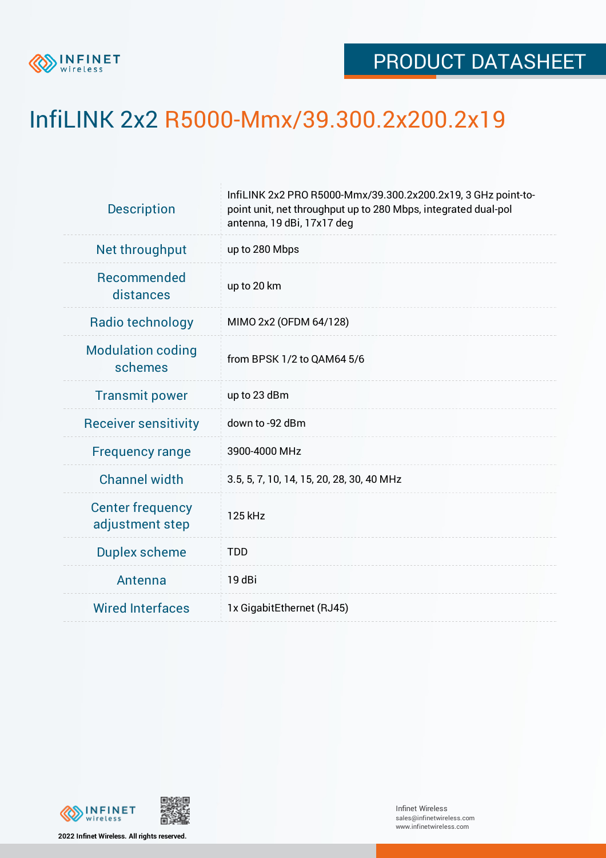

## InfiLINK 2x2 R5000-Mmx/39.300.2x200.2x19

| <b>Description</b>                         | InfiLINK 2x2 PRO R5000-Mmx/39.300.2x200.2x19, 3 GHz point-to-<br>point unit, net throughput up to 280 Mbps, integrated dual-pol<br>antenna, 19 dBi, 17x17 deg |  |  |  |  |
|--------------------------------------------|---------------------------------------------------------------------------------------------------------------------------------------------------------------|--|--|--|--|
| Net throughput                             | up to 280 Mbps                                                                                                                                                |  |  |  |  |
| Recommended<br>distances                   | up to 20 km                                                                                                                                                   |  |  |  |  |
| Radio technology                           | MIMO 2x2 (OFDM 64/128)                                                                                                                                        |  |  |  |  |
| <b>Modulation coding</b><br>schemes        | from BPSK 1/2 to QAM64 5/6                                                                                                                                    |  |  |  |  |
| <b>Transmit power</b>                      | up to 23 dBm                                                                                                                                                  |  |  |  |  |
| <b>Receiver sensitivity</b>                | down to -92 dBm                                                                                                                                               |  |  |  |  |
| <b>Frequency range</b>                     | 3900-4000 MHz                                                                                                                                                 |  |  |  |  |
| <b>Channel width</b>                       | 3.5, 5, 7, 10, 14, 15, 20, 28, 30, 40 MHz                                                                                                                     |  |  |  |  |
| <b>Center frequency</b><br>adjustment step | 125 kHz                                                                                                                                                       |  |  |  |  |
| <b>Duplex scheme</b>                       | <b>TDD</b>                                                                                                                                                    |  |  |  |  |
| Antenna                                    | 19 dBi                                                                                                                                                        |  |  |  |  |
| <b>Wired Interfaces</b>                    | 1x GigabitEthernet (RJ45)                                                                                                                                     |  |  |  |  |



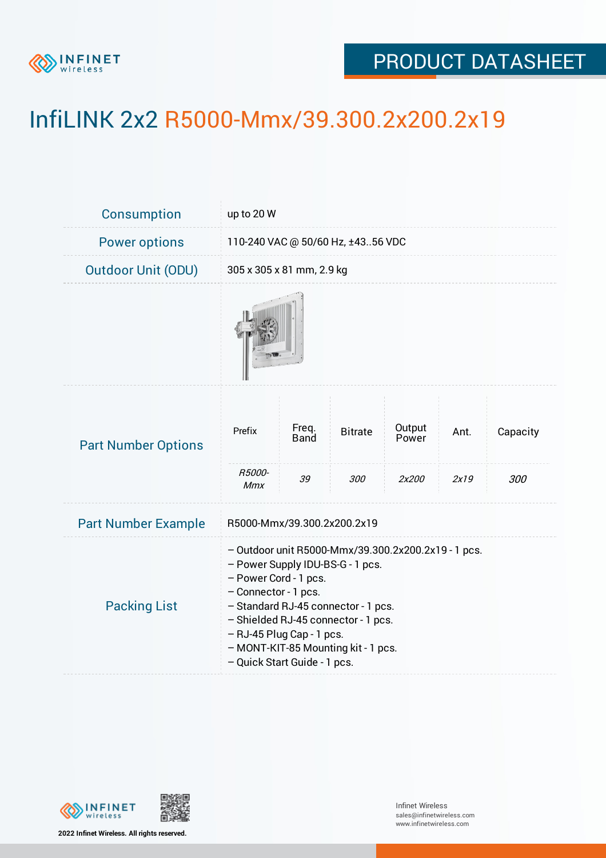

## PRODUCT DATASHEET

## InfiLINK 2x2 R5000-Mmx/39.300.2x200.2x19

| Consumption                | up to 20 W                                                                                                                                                                                                                                                                                                                 |                            |                       |                          |              |                 |  |
|----------------------------|----------------------------------------------------------------------------------------------------------------------------------------------------------------------------------------------------------------------------------------------------------------------------------------------------------------------------|----------------------------|-----------------------|--------------------------|--------------|-----------------|--|
| <b>Power options</b>       | 110-240 VAC @ 50/60 Hz, ±4356 VDC                                                                                                                                                                                                                                                                                          |                            |                       |                          |              |                 |  |
| <b>Outdoor Unit (ODU)</b>  | 305 x 305 x 81 mm, 2.9 kg                                                                                                                                                                                                                                                                                                  |                            |                       |                          |              |                 |  |
|                            |                                                                                                                                                                                                                                                                                                                            |                            |                       |                          |              |                 |  |
| <b>Part Number Options</b> | Prefix<br>R5000-                                                                                                                                                                                                                                                                                                           | Freq.<br><b>Band</b><br>39 | <b>Bitrate</b><br>300 | Output<br>Power<br>2x200 | Ant.<br>2x19 | Capacity<br>300 |  |
| <b>Part Number Example</b> | Mmx<br>R5000-Mmx/39.300.2x200.2x19                                                                                                                                                                                                                                                                                         |                            |                       |                          |              |                 |  |
| <b>Packing List</b>        | - Outdoor unit R5000-Mmx/39.300.2x200.2x19 - 1 pcs.<br>- Power Supply IDU-BS-G - 1 pcs.<br>- Power Cord - 1 pcs.<br>- Connector - 1 pcs.<br>- Standard RJ-45 connector - 1 pcs.<br>- Shielded RJ-45 connector - 1 pcs.<br>- RJ-45 Plug Cap - 1 pcs.<br>- MONT-KIT-85 Mounting kit - 1 pcs.<br>- Quick Start Guide - 1 pcs. |                            |                       |                          |              |                 |  |



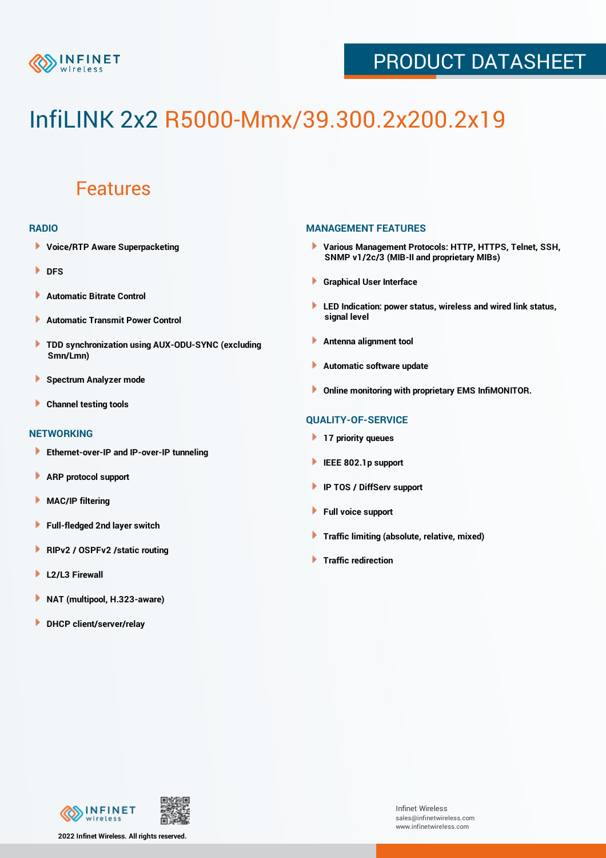

## PRODUCT DATASHEET

# InfiLINK 2x2 R5000-Mmx/39.300.2x200.2x19

### Features

#### **RADIO**

- **Voice/RTP Aware Superpacketing**
- **DFS**
- **Automatic Bitrate Control** Þ
- Þ **Automatic Transmit Power Control**
- ь **TDD synchronization using AUX-ODU-SYNC (excluding Smn/Lmn)**
- **Spectrum Analyzer mode** ۰
- **Channel testing tools** ١

#### **NETWORKING**

- **Ethernet-over-IP and IP-over-IP tunneling**
- **ARP protocol support** ٠
- ۱ **MAC/IP filtering**
- Þ **Full-fledged 2nd layer switch**
- Þ **RIPv2 / OSPFv2 /static routing**
- **L2/L3 Firewall** Þ
- **NAT (multipool, H.323-aware)** Þ
- Þ **DHCP client/server/relay**

#### **MANAGEMENT FEATURES**

- **Various Management Protocols: HTTP, HTTPS, Telnet, SSH, SNMP v1/2c/3 (MIB-II and proprietary MIBs)**
- **Graphical User Interface**
- **LED Indication: power status, wireless and wired link status, signal level**
- **Antenna alignment tool**
- ٠ **Automatic software update**
- **Online monitoring with proprietary EMS InfiMONITOR.**

#### **QUALITY-OF-SERVICE**

- **17 priority queues**
- **IEEE 802.1p support**
- **IP TOS / DiffServ support**
- ٠ **Full voice support**
- **Traffic limiting (absolute, relative, mixed)** ٠
- **Traffic redirection**